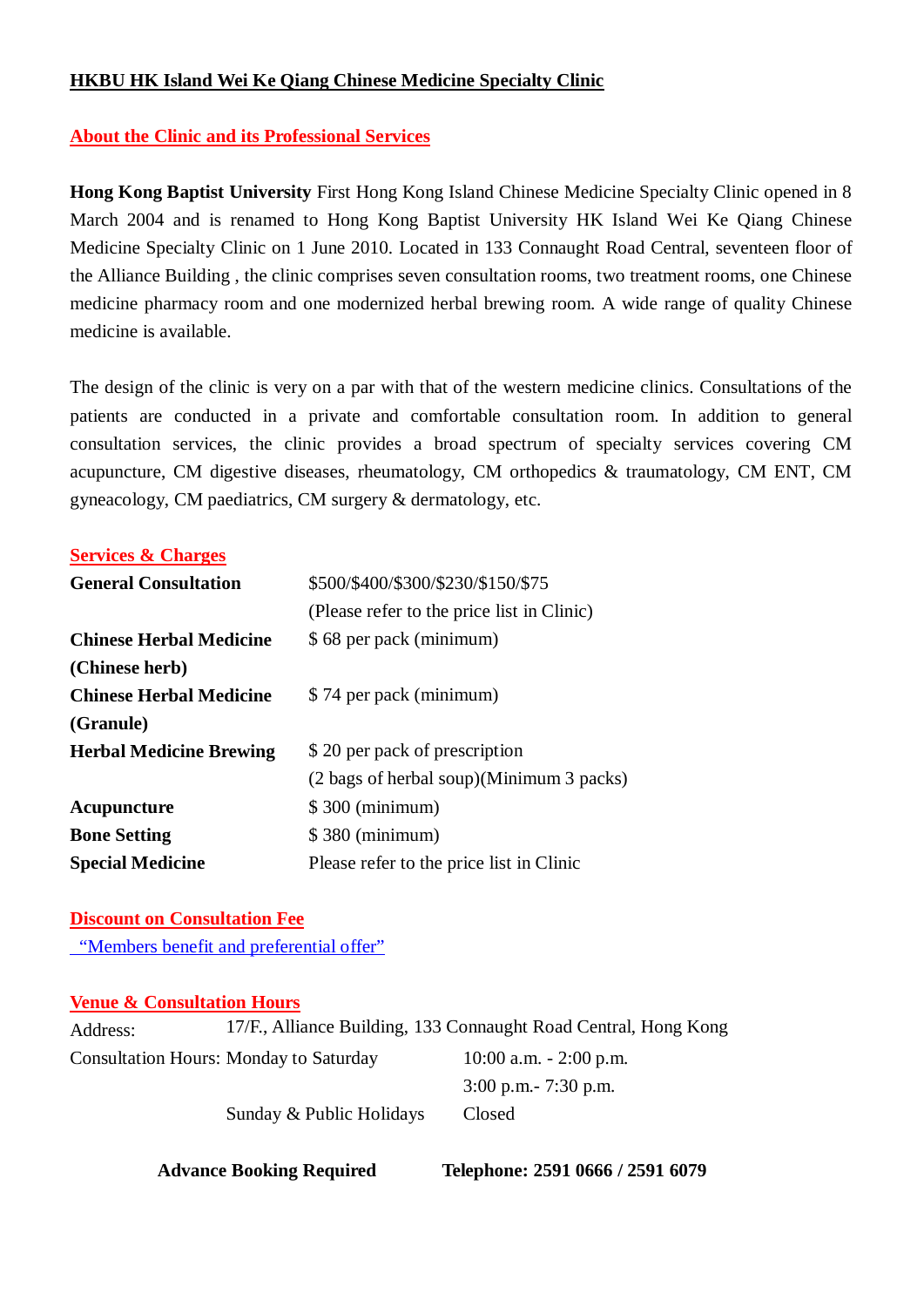## **HKBU HK Island Wei Ke Qiang Chinese Medicine Specialty Clinic**

# **About the Clinic and its Professional Services**

**Hong Kong Baptist University** First Hong Kong Island Chinese Medicine Specialty Clinic opened in 8 March 2004 and is renamed to Hong Kong Baptist University HK Island Wei Ke Qiang Chinese Medicine Specialty Clinic on 1 June 2010. Located in 133 Connaught Road Central, seventeen floor of the Alliance Building , the clinic comprises seven consultation rooms, two treatment rooms, one Chinese medicine pharmacy room and one modernized herbal brewing room. A wide range of quality Chinese medicine is available.

The design of the clinic is very on a par with that of the western medicine clinics. Consultations of the patients are conducted in a private and comfortable consultation room. In addition to general consultation services, the clinic provides a broad spectrum of specialty services covering CM acupuncture, CM digestive diseases, rheumatology, CM orthopedics & traumatology, CM ENT, CM gyneacology, CM paediatrics, CM surgery & dermatology, etc.

### **Services & Charges**

| <b>General Consultation</b>    | \$500/\$400/\$300/\$230/\$150/\$75         |  |  |
|--------------------------------|--------------------------------------------|--|--|
|                                | (Please refer to the price list in Clinic) |  |  |
| <b>Chinese Herbal Medicine</b> | \$68 per pack (minimum)                    |  |  |
| (Chinese herb)                 |                                            |  |  |
| <b>Chinese Herbal Medicine</b> | \$74 per pack (minimum)                    |  |  |
| (Granule)                      |                                            |  |  |
| <b>Herbal Medicine Brewing</b> | \$20 per pack of prescription              |  |  |
|                                | (2 bags of herbal soup)(Minimum 3 packs)   |  |  |
| Acupuncture                    | \$300 (minimum)                            |  |  |
| <b>Bone Setting</b>            | \$380 (minimum)                            |  |  |
| <b>Special Medicine</b>        | Please refer to the price list in Clinic   |  |  |

# **Discount on Consultation Fee**

"Members benefit and preferential offer"

#### **Venue & Consultation Hours**

| Address: |                                               | 17/F., Alliance Building, 133 Connaught Road Central, Hong Kong |  |
|----------|-----------------------------------------------|-----------------------------------------------------------------|--|
|          | <b>Consultation Hours: Monday to Saturday</b> | $10:00$ a.m. $-2:00$ p.m.                                       |  |
|          |                                               | $3:00$ p.m. $-7:30$ p.m.                                        |  |
|          | Sunday & Public Holidays                      | Closed                                                          |  |

**Advance Booking Required Telephone: 2591 0666 / 2591 6079**